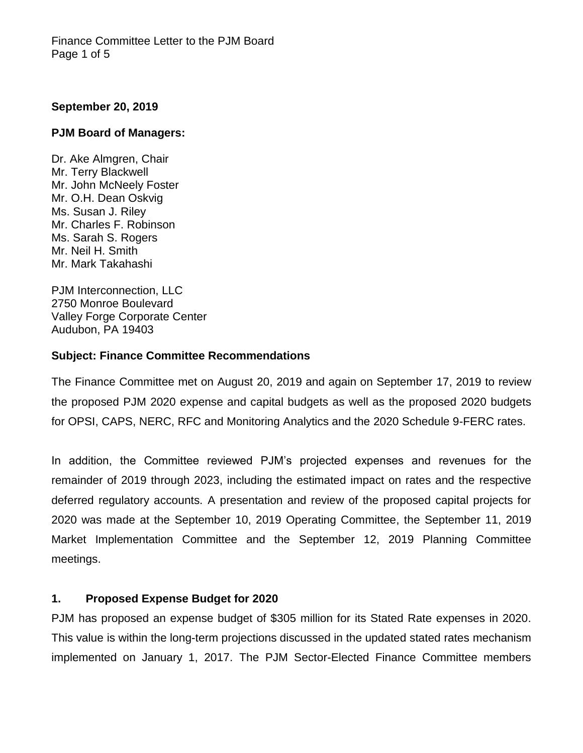### **September 20, 2019**

#### **PJM Board of Managers:**

Dr. Ake Almgren, Chair Mr. Terry Blackwell Mr. John McNeely Foster Mr. O.H. Dean Oskvig Ms. Susan J. Riley Mr. Charles F. Robinson Ms. Sarah S. Rogers Mr. Neil H. Smith Mr. Mark Takahashi

PJM Interconnection, LLC 2750 Monroe Boulevard Valley Forge Corporate Center Audubon, PA 19403

#### **Subject: Finance Committee Recommendations**

The Finance Committee met on August 20, 2019 and again on September 17, 2019 to review the proposed PJM 2020 expense and capital budgets as well as the proposed 2020 budgets for OPSI, CAPS, NERC, RFC and Monitoring Analytics and the 2020 Schedule 9-FERC rates.

In addition, the Committee reviewed PJM's projected expenses and revenues for the remainder of 2019 through 2023, including the estimated impact on rates and the respective deferred regulatory accounts. A presentation and review of the proposed capital projects for 2020 was made at the September 10, 2019 Operating Committee, the September 11, 2019 Market Implementation Committee and the September 12, 2019 Planning Committee meetings.

# **1. Proposed Expense Budget for 2020**

PJM has proposed an expense budget of \$305 million for its Stated Rate expenses in 2020. This value is within the long-term projections discussed in the updated stated rates mechanism implemented on January 1, 2017. The PJM Sector-Elected Finance Committee members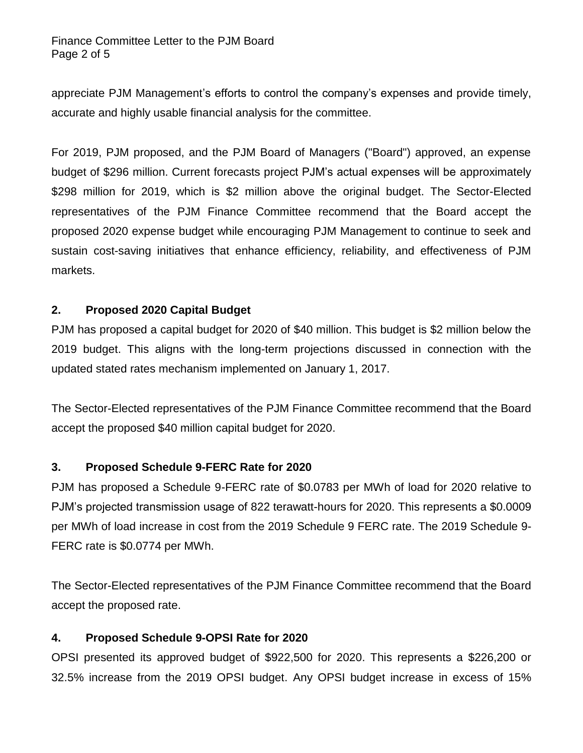#### Finance Committee Letter to the PJM Board Page 2 of 5

appreciate PJM Management's efforts to control the company's expenses and provide timely, accurate and highly usable financial analysis for the committee.

For 2019, PJM proposed, and the PJM Board of Managers ("Board") approved, an expense budget of \$296 million. Current forecasts project PJM's actual expenses will be approximately \$298 million for 2019, which is \$2 million above the original budget. The Sector-Elected representatives of the PJM Finance Committee recommend that the Board accept the proposed 2020 expense budget while encouraging PJM Management to continue to seek and sustain cost-saving initiatives that enhance efficiency, reliability, and effectiveness of PJM markets.

# **2. Proposed 2020 Capital Budget**

PJM has proposed a capital budget for 2020 of \$40 million. This budget is \$2 million below the 2019 budget. This aligns with the long-term projections discussed in connection with the updated stated rates mechanism implemented on January 1, 2017.

The Sector-Elected representatives of the PJM Finance Committee recommend that the Board accept the proposed \$40 million capital budget for 2020.

# **3. Proposed Schedule 9-FERC Rate for 2020**

PJM has proposed a Schedule 9-FERC rate of \$0.0783 per MWh of load for 2020 relative to PJM's projected transmission usage of 822 terawatt-hours for 2020. This represents a \$0.0009 per MWh of load increase in cost from the 2019 Schedule 9 FERC rate. The 2019 Schedule 9- FERC rate is \$0.0774 per MWh.

The Sector-Elected representatives of the PJM Finance Committee recommend that the Board accept the proposed rate.

# **4. Proposed Schedule 9-OPSI Rate for 2020**

OPSI presented its approved budget of \$922,500 for 2020. This represents a \$226,200 or 32.5% increase from the 2019 OPSI budget. Any OPSI budget increase in excess of 15%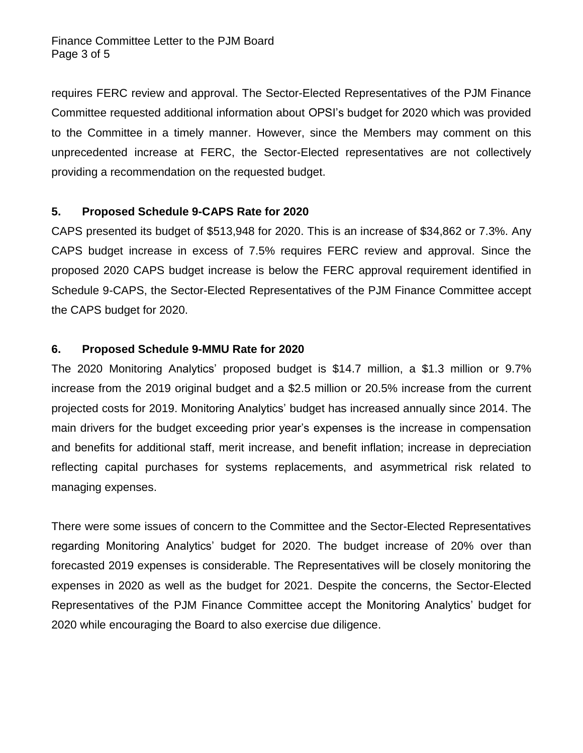Finance Committee Letter to the PJM Board Page 3 of 5

requires FERC review and approval. The Sector-Elected Representatives of the PJM Finance Committee requested additional information about OPSI's budget for 2020 which was provided to the Committee in a timely manner. However, since the Members may comment on this unprecedented increase at FERC, the Sector-Elected representatives are not collectively providing a recommendation on the requested budget.

### **5. Proposed Schedule 9-CAPS Rate for 2020**

CAPS presented its budget of \$513,948 for 2020. This is an increase of \$34,862 or 7.3%. Any CAPS budget increase in excess of 7.5% requires FERC review and approval. Since the proposed 2020 CAPS budget increase is below the FERC approval requirement identified in Schedule 9-CAPS, the Sector-Elected Representatives of the PJM Finance Committee accept the CAPS budget for 2020.

### **6. Proposed Schedule 9-MMU Rate for 2020**

The 2020 Monitoring Analytics' proposed budget is \$14.7 million, a \$1.3 million or 9.7% increase from the 2019 original budget and a \$2.5 million or 20.5% increase from the current projected costs for 2019. Monitoring Analytics' budget has increased annually since 2014. The main drivers for the budget exceeding prior year's expenses is the increase in compensation and benefits for additional staff, merit increase, and benefit inflation; increase in depreciation reflecting capital purchases for systems replacements, and asymmetrical risk related to managing expenses.

There were some issues of concern to the Committee and the Sector-Elected Representatives regarding Monitoring Analytics' budget for 2020. The budget increase of 20% over than forecasted 2019 expenses is considerable. The Representatives will be closely monitoring the expenses in 2020 as well as the budget for 2021. Despite the concerns, the Sector-Elected Representatives of the PJM Finance Committee accept the Monitoring Analytics' budget for 2020 while encouraging the Board to also exercise due diligence.